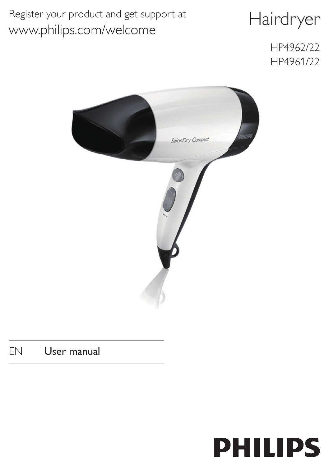### Register your product and get support at Register your product and get support at Hairdryer<br>www.philips.com/welcome

HP4962/22 HP4961/22



#### EN User manual

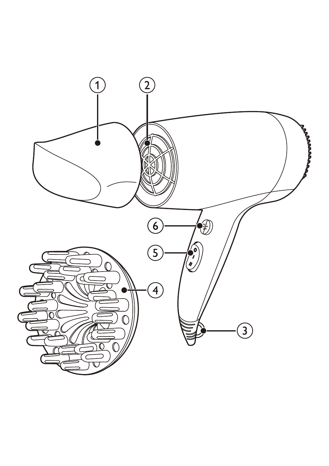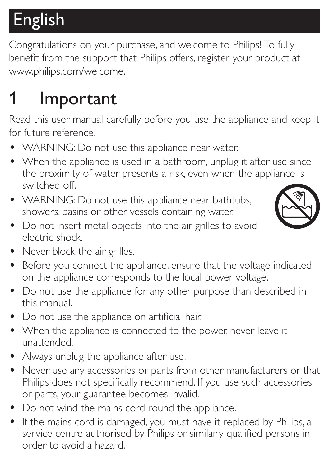# English

Congratulations on your purchase, and welcome to Philips! To fully benefit from the support that Philips offers, register your product at www.philips.com/welcome.

# 1 Important

Read this user manual carefully before you use the appliance and keep it for future reference.

- WARNING: Do not use this appliance near water.
- When the appliance is used in a bathroom, unplug it after use since the proximity of water presents a risk, even when the appliance is switched off.
- WARNING: Do not use this appliance near bathtubs, showers, basins or other vessels containing water.
- Do not insert metal objects into the air grilles to avoid electric shock.



- Never block the air grilles.
- Before you connect the appliance, ensure that the voltage indicated on the appliance corresponds to the local power voltage.
- Do not use the appliance for any other purpose than described in this manual.
- Do not use the appliance on artificial hair.
- When the appliance is connected to the power, never leave it unattended.
- Always unplug the appliance after use.
- Never use any accessories or parts from other manufacturers or that Philips does not specifically recommend. If you use such accessories or parts, your guarantee becomes invalid.
- Do not wind the mains cord round the appliance.
- If the mains cord is damaged, you must have it replaced by Philips, a service centre authorised by Philips or similarly qualified persons in order to avoid a hazard.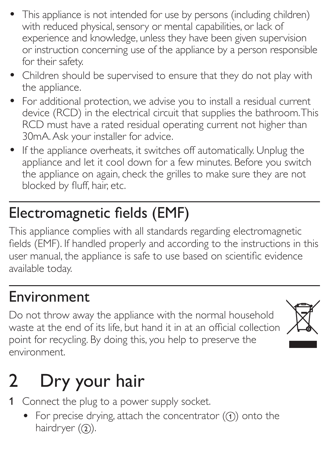- This appliance is not intended for use by persons (including children) with reduced physical, sensory or mental capabilities, or lack of experience and knowledge, unless they have been given supervision or instruction concerning use of the appliance by a person responsible for their safety.
- Children should be supervised to ensure that they do not play with the appliance.
- For additional protection, we advise you to install a residual current device (RCD) in the electrical circuit that supplies the bathroom. This RCD must have a rated residual operating current not higher than 30mA. Ask your installer for advice.
- If the appliance overheats, it switches off automatically. Unplug the appliance and let it cool down for a few minutes. Before you switch the appliance on again, check the grilles to make sure they are not blocked by fluff, hair, etc.

## Electromagnetic fields (EMF)

This appliance complies with all standards regarding electromagnetic fields (EMF). If handled properly and according to the instructions in this user manual, the appliance is safe to use based on scientific evidence available today.

## **Environment**

Do not throw away the appliance with the normal household waste at the end of its life, but hand it in at an official collection point for recycling. By doing this, you help to preserve the environment.



# 2 Dry your hair

- 1 Connect the plug to a power supply socket.
	- For precise drying, attach the concentrator  $(0)$  onto the hairdryer  $(2)$ .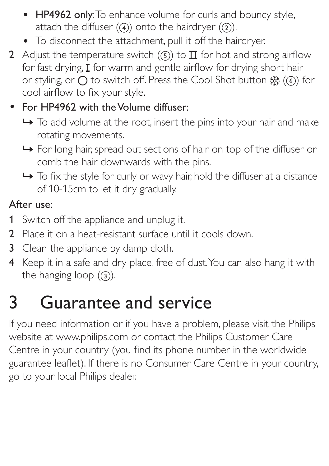- HP4962 only: To enhance volume for curls and bouncy style attach the diffuser  $(4)$  onto the hairdryer  $(2)$ ).
- To disconnect the attachment, pull it off the hairdryer.
- 2 Adjust the temperature switch  $(6)$  to  $\Pi$  for hot and strong airflow for fast drying. I for warm and gentle airflow for drying short hair or styling, or  $\bigcap$  to switch off. Press the Cool Shot button  $\frac{4k}{2}$  (6) for cool airflow to fix your style.
- For HP4962 with the Volume diffuser
	- » To add volume at the root, insert the pins into your hair and make rotating movements.
	- » For long hair, spread out sections of hair on top of the diffuser or comb the hair downwards with the pins.
	- » To fix the style for curly or wavy hair, hold the diffuser at a distance of 10-15cm to let it dry gradually.

#### After use:

- 1 Switch off the appliance and unplug it.
- 2 Place it on a heat-resistant surface until it cools down.
- 3 Clean the appliance by damp cloth.
- 4 Keep it in a safe and dry place, free of dust. You can also hang it with the hanging loop  $(3)$ .

## 3 Guarantee and service

If you need information or if you have a problem, please visit the Philips website at www.philips.com or contact the Philips Customer Care Centre in your country (you find its phone number in the worldwide guarantee leaflet). If there is no Consumer Care Centre in your country, go to your local Philips dealer.